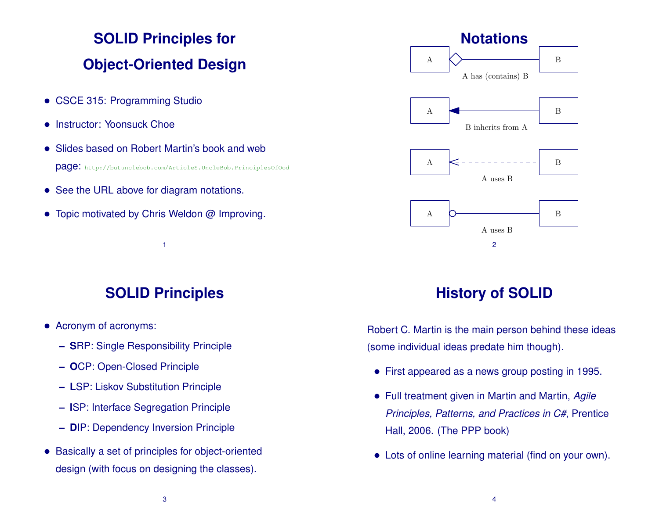# **SOLID Principles for Object-Oriented Design**

- CSCE 315: Programming Studio
- Instructor: Yoonsuck Choe
- Slides based on Robert Martin's book and web page: http://butunclebob.com/ArticleS.UncleBob.PrinciplesOfOod
- See the URL above for diagram notations.
- Topic motivated by Chris Weldon @ Improving.



## **SOLID Principles**

1

- Acronym of acronyms:
	- **– S**RP: Single Responsibility Principle
	- **– O**CP: Open-Closed Principle
	- **– L**SP: Liskov Substitution Principle
	- **– I**SP: Interface Segregation Principle
	- **– D**IP: Dependency Inversion Principle
- Basically a set of principles for object-oriented design (with focus on designing the classes).

# **History of SOLID**

Robert C. Martin is the main person behind these ideas (some individual ideas predate him though).

- First appeared as a news group posting in 1995.
- Full treatment given in Martin and Martin, *Agile Principles, Patterns, and Practices in C#*, Prentice Hall, 2006. (The PPP book)
- Lots of online learning material (find on your own).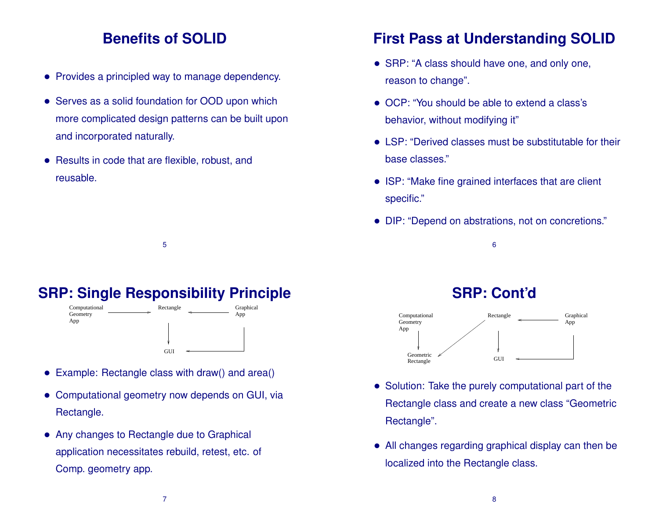#### **Benefits of SOLID**

- Provides a principled way to manage dependency.
- Serves as a solid foundation for OOD upon which more complicated design patterns can be built upon and incorporated naturally.
- Results in code that are flexible, robust, and reusable.

#### **SRP: Single Responsibility Principle**

5



- Example: Rectangle class with draw() and area()
- Computational geometry now depends on GUI, via Rectangle.
- Any changes to Rectangle due to Graphical application necessitates rebuild, retest, etc. of Comp. geometry app.

## **First Pass at Understanding SOLID**

- SRP: "A class should have one, and only one, reason to change".
- OCP: "You should be able to extend a class's behavior, without modifying it"
- LSP: "Derived classes must be substitutable for their base classes."
- ISP: "Make fine grained interfaces that are client specific."
- DIP: "Depend on abstrations, not on concretions."

#### 6

#### **SRP: Cont'd**



- Solution: Take the purely computational part of the Rectangle class and create a new class "Geometric Rectangle".
- All changes regarding graphical display can then be localized into the Rectangle class.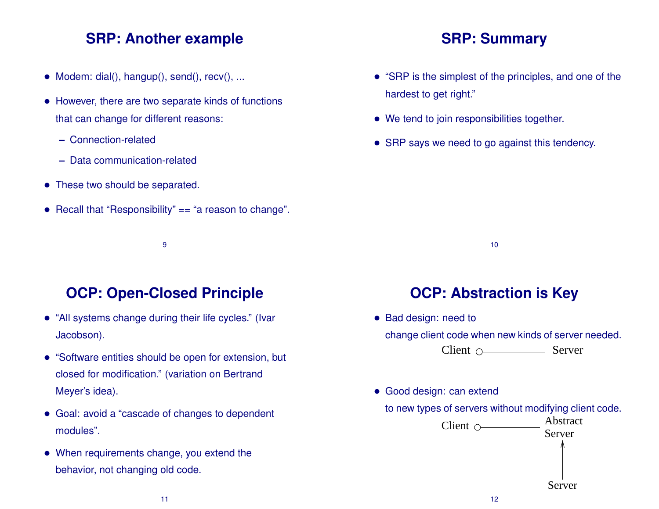#### **SRP: Another example**

- Modem: dial(), hangup(), send(), recv(), ...
- However, there are two separate kinds of functions that can change for different reasons:
	- **–** Connection-related
	- **–** Data communication-related
- These two should be separated.
- Recall that "Responsibility" == "a reason to change".
	- 9

## **OCP: Open-Closed Principle**

- "All systems change during their life cycles." (Ivar Jacobson).
- "Software entities should be open for extension, but closed for modification." (variation on Bertrand Meyer's idea).
- Goal: avoid a "cascade of changes to dependent modules".
- When requirements change, you extend the behavior, not changing old code.

#### **SRP: Summary**

- "SRP is the simplest of the principles, and one of the hardest to get right."
- We tend to join responsibilities together.
- SRP says we need to go against this tendency.

10

## **OCP: Abstraction is Key**

- Bad design: need to change client code when new kinds of server needed.  $Client \nO$  Server
- Good design: can extend

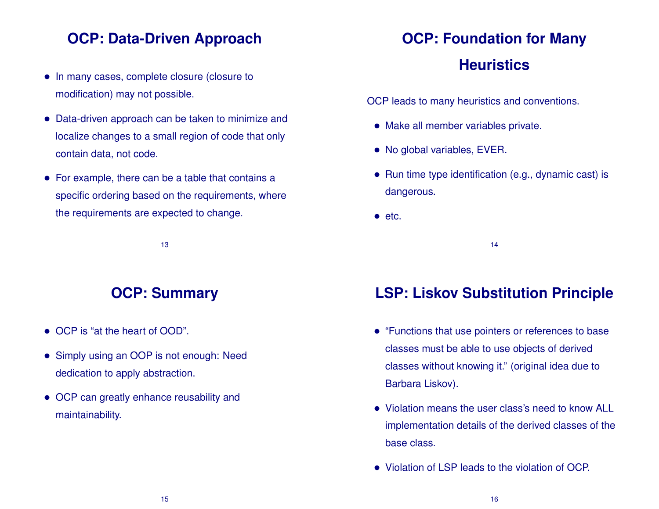## **OCP: Data-Driven Approach**

- In many cases, complete closure (closure to modification) may not possible.
- Data-driven approach can be taken to minimize and localize changes to a small region of code that only contain data, not code.
- For example, there can be a table that contains a specific ordering based on the requirements, where the requirements are expected to change.

13

#### **OCP: Summary**

- OCP is "at the heart of OOD".
- Simply using an OOP is not enough: Need dedication to apply abstraction.
- OCP can greatly enhance reusability and maintainability.

# **OCP: Foundation for Many**

#### **Heuristics**

OCP leads to many heuristics and conventions.

- Make all member variables private.
- No global variables, EVER.
- Run time type identification (e.g., dynamic cast) is dangerous.
- etc.

14

## **LSP: Liskov Substitution Principle**

- "Functions that use pointers or references to base classes must be able to use objects of derived classes without knowing it." (original idea due to Barbara Liskov).
- Violation means the user class's need to know ALL implementation details of the derived classes of the base class.
- Violation of LSP leads to the violation of OCP.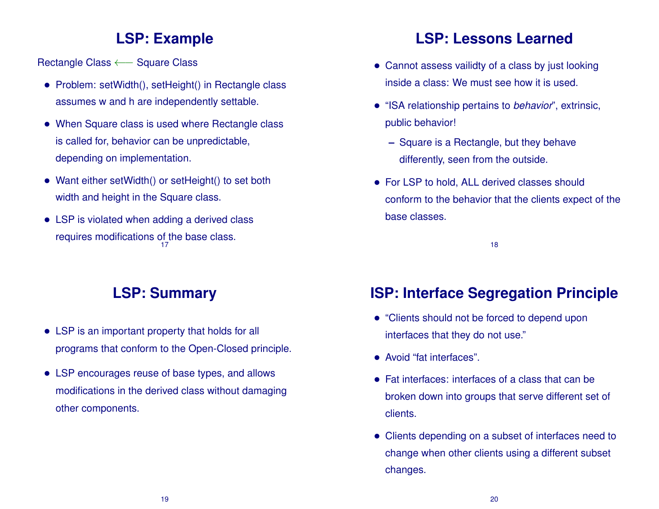#### **LSP: Example**

Rectangle Class ← Square Class

- Problem: setWidth(), setHeight() in Rectangle class assumes w and h are independently settable.
- When Square class is used where Rectangle class is called for, behavior can be unpredictable, depending on implementation.
- Want either setWidth() or setHeight() to set both width and height in the Square class.
- LSP is violated when adding a derived class requires modifications of the base class. 17

## **LSP: Summary**

- LSP is an important property that holds for all programs that conform to the Open-Closed principle.
- LSP encourages reuse of base types, and allows modifications in the derived class without damaging other components.

## **LSP: Lessons Learned**

- Cannot assess vailidty of a class by just looking inside a class: We must see how it is used.
- "ISA relationship pertains to *behavior*", extrinsic, public behavior!
	- **–** Square is a Rectangle, but they behave differently, seen from the outside.
- For LSP to hold, ALL derived classes should conform to the behavior that the clients expect of the base classes.

18

## **ISP: Interface Segregation Principle**

- "Clients should not be forced to depend upon interfaces that they do not use."
- Avoid "fat interfaces".
- Fat interfaces: interfaces of a class that can be broken down into groups that serve different set of clients.
- Clients depending on a subset of interfaces need to change when other clients using a different subset changes.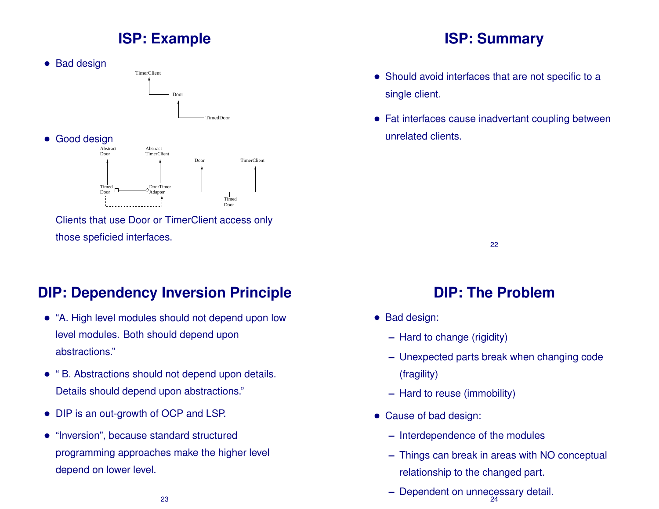## **ISP: Example**



those speficied interfaces.

## **DIP: Dependency Inversion Principle**

- "A. High level modules should not depend upon low level modules. Both should depend upon abstractions."
- " B. Abstractions should not depend upon details. Details should depend upon abstractions."
- DIP is an out-growth of OCP and LSP.
- "Inversion", because standard structured programming approaches make the higher level depend on lower level.

## **ISP: Summary**

- Should avoid interfaces that are not specific to a single client.
- Fat interfaces cause inadvertant coupling between unrelated clients.

22

# **DIP: The Problem**

- Bad design:
	- **–** Hard to change (rigidity)
	- **–** Unexpected parts break when changing code (fragility)
	- **–** Hard to reuse (immobility)
- Cause of bad design:
	- **–** Interdependence of the modules
	- **–** Things can break in areas with NO conceptual relationship to the changed part.
	- **–** Dependent on unnecessary detail. 24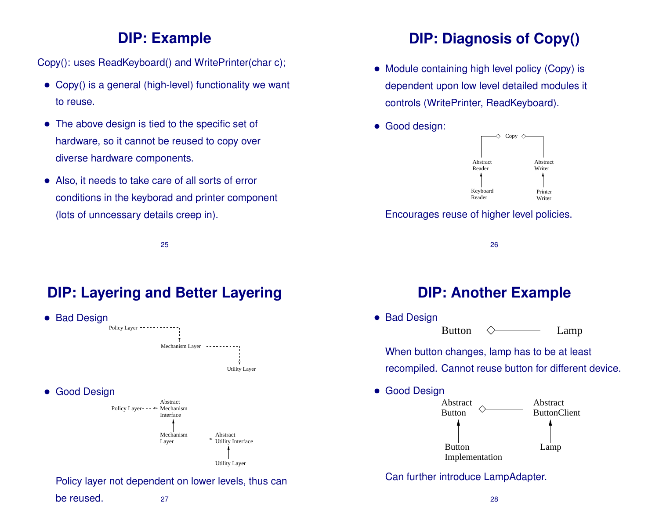#### **DIP: Example**

Copy(): uses ReadKeyboard() and WritePrinter(char c);

- Copy() is a general (high-level) functionality we want to reuse.
- The above design is tied to the specific set of hardware, so it cannot be reused to copy over diverse hardware components.
- Also, it needs to take care of all sorts of error conditions in the keyborad and printer component (lots of unncessary details creep in).

**DIP: Diagnosis of Copy()**

- Module containing high level policy (Copy) is dependent upon low level detailed modules it controls (WritePrinter, ReadKeyboard).
- Good design:



#### Encourages reuse of higher level policies.

## **DIP: Layering and Better Layering**

25



#### **DIP: Another Example**

26

• Bad Design Button  $\Diamond$  Lamp

When button changes, lamp has to be at least recompiled. Cannot reuse button for different device.

• Good Design

![](_page_6_Figure_17.jpeg)

Can further introduce LampAdapter.

#### be reused. 27